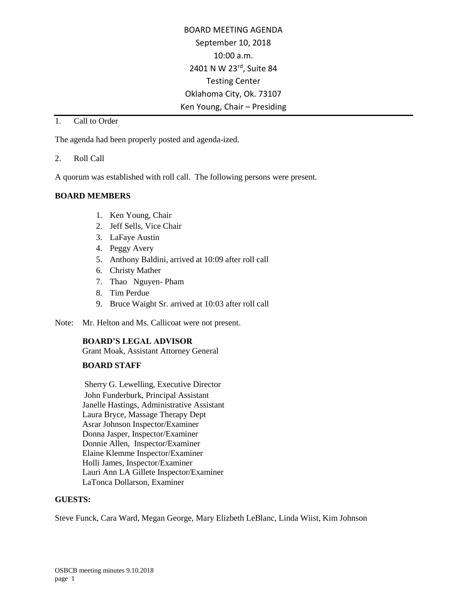BOARD MEETING AGENDA September 10, 2018 10:00 a.m. 2401 N W 23rd, Suite 84 Testing Center Oklahoma City, Ok. 73107 Ken Young, Chair – Presiding

## 1. Call to Order

The agenda had been properly posted and agenda-ized.

#### 2. Roll Call

A quorum was established with roll call. The following persons were present.

#### **BOARD MEMBERS**

- 1. Ken Young, Chair
- 2. Jeff Sells, Vice Chair
- 3. LaFaye Austin
- 4. Peggy Avery
- 5. Anthony Baldini, arrived at 10:09 after roll call
- 6. Christy Mather
- 7. Thao Nguyen- Pham
- 8. Tim Perdue
- 9. Bruce Waight Sr. arrived at 10:03 after roll call
- Note: Mr. Helton and Ms. Callicoat were not present.

## **BOARD'S LEGAL ADVISOR**

Grant Moak, Assistant Attorney General

## **BOARD STAFF**

Sherry G. Lewelling, Executive Director John Funderburk, Principal Assistant Janelle Hastings, Administrative Assistant Laura Bryce, Massage Therapy Dept Asrar Johnson Inspector/Examiner Donna Jasper, Inspector/Examiner Donnie Allen, Inspector/Examiner Elaine Klemme Inspector/Examiner Holli James, Inspector/Examiner Lauri Ann LA Gillete Inspector/Examiner LaTonca Dollarson, Examiner

#### **GUESTS:**

Steve Funck, Cara Ward, Megan George, Mary Elizbeth LeBlanc, Linda Wiist, Kim Johnson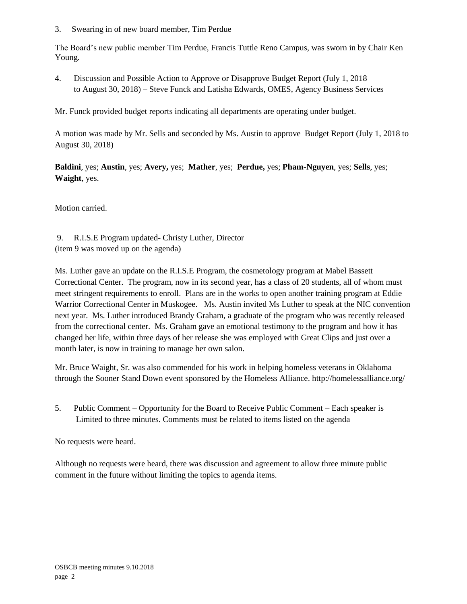3. Swearing in of new board member, Tim Perdue

The Board's new public member Tim Perdue, Francis Tuttle Reno Campus, was sworn in by Chair Ken Young.

4. Discussion and Possible Action to Approve or Disapprove Budget Report (July 1, 2018 to August 30, 2018) – Steve Funck and Latisha Edwards, OMES, Agency Business Services

Mr. Funck provided budget reports indicating all departments are operating under budget.

A motion was made by Mr. Sells and seconded by Ms. Austin to approve Budget Report (July 1, 2018 to August 30, 2018)

**Baldini**, yes; **Austin**, yes; **Avery,** yes; **Mather**, yes; **Perdue,** yes; **Pham-Nguyen**, yes; **Sells**, yes; **Waight**, yes.

Motion carried.

9. R.I.S.E Program updated- Christy Luther, Director (item 9 was moved up on the agenda)

Ms. Luther gave an update on the R.I.S.E Program, the cosmetology program at Mabel Bassett Correctional Center. The program, now in its second year, has a class of 20 students, all of whom must meet stringent requirements to enroll. Plans are in the works to open another training program at Eddie Warrior Correctional Center in Muskogee. Ms. Austin invited Ms Luther to speak at the NIC convention next year. Ms. Luther introduced Brandy Graham, a graduate of the program who was recently released from the correctional center. Ms. Graham gave an emotional testimony to the program and how it has changed her life, within three days of her release she was employed with Great Clips and just over a month later, is now in training to manage her own salon.

Mr. Bruce Waight, Sr. was also commended for his work in helping homeless veterans in Oklahoma through the Sooner Stand Down event sponsored by the Homeless Alliance. http://homelessalliance.org/

5. Public Comment – Opportunity for the Board to Receive Public Comment – Each speaker is Limited to three minutes. Comments must be related to items listed on the agenda

No requests were heard.

Although no requests were heard, there was discussion and agreement to allow three minute public comment in the future without limiting the topics to agenda items.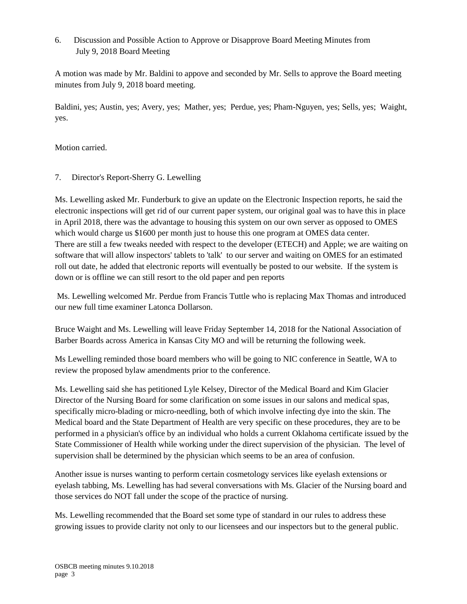# 6. Discussion and Possible Action to Approve or Disapprove Board Meeting Minutes from July 9, 2018 Board Meeting

A motion was made by Mr. Baldini to appove and seconded by Mr. Sells to approve the Board meeting minutes from July 9, 2018 board meeting.

Baldini, yes; Austin, yes; Avery, yes; Mather, yes; Perdue, yes; Pham-Nguyen, yes; Sells, yes; Waight, yes.

Motion carried.

## 7. Director's Report-Sherry G. Lewelling

Ms. Lewelling asked Mr. Funderburk to give an update on the Electronic Inspection reports, he said the electronic inspections will get rid of our current paper system, our original goal was to have this in place in April 2018, there was the advantage to housing this system on our own server as opposed to OMES which would charge us \$1600 per month just to house this one program at OMES data center. There are still a few tweaks needed with respect to the developer (ETECH) and Apple; we are waiting on software that will allow inspectors' tablets to 'talk' to our server and waiting on OMES for an estimated roll out date, he added that electronic reports will eventually be posted to our website. If the system is down or is offline we can still resort to the old paper and pen reports

Ms. Lewelling welcomed Mr. Perdue from Francis Tuttle who is replacing Max Thomas and introduced our new full time examiner Latonca Dollarson.

Bruce Waight and Ms. Lewelling will leave Friday September 14, 2018 for the National Association of Barber Boards across America in Kansas City MO and will be returning the following week.

Ms Lewelling reminded those board members who will be going to NIC conference in Seattle, WA to review the proposed bylaw amendments prior to the conference.

Ms. Lewelling said she has petitioned Lyle Kelsey, Director of the Medical Board and Kim Glacier Director of the Nursing Board for some clarification on some issues in our salons and medical spas, specifically micro-blading or micro-needling, both of which involve infecting dye into the skin. The Medical board and the State Department of Health are very specific on these procedures, they are to be performed in a physician's office by an individual who holds a current Oklahoma certificate issued by the State Commissioner of Health while working under the direct supervision of the physician. The level of supervision shall be determined by the physician which seems to be an area of confusion.

Another issue is nurses wanting to perform certain cosmetology services like eyelash extensions or eyelash tabbing, Ms. Lewelling has had several conversations with Ms. Glacier of the Nursing board and those services do NOT fall under the scope of the practice of nursing.

Ms. Lewelling recommended that the Board set some type of standard in our rules to address these growing issues to provide clarity not only to our licensees and our inspectors but to the general public.